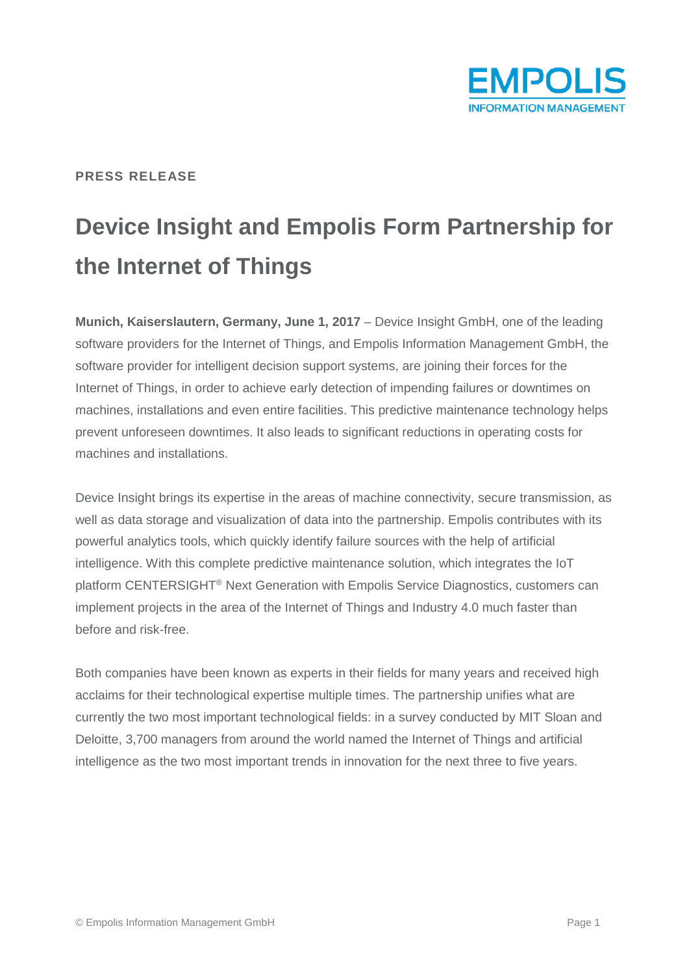

## **PRESS RELEASE**

# **Device Insight and Empolis Form Partnership for the Internet of Things**

**Munich, Kaiserslautern, Germany, June 1, 2017** – Device Insight GmbH, one of the leading software providers for the Internet of Things, and Empolis Information Management GmbH, the software provider for intelligent decision support systems, are joining their forces for the Internet of Things, in order to achieve early detection of impending failures or downtimes on machines, installations and even entire facilities. This predictive maintenance technology helps prevent unforeseen downtimes. It also leads to significant reductions in operating costs for machines and installations.

Device Insight brings its expertise in the areas of machine connectivity, secure transmission, as well as data storage and visualization of data into the partnership. Empolis contributes with its powerful analytics tools, which quickly identify failure sources with the help of artificial intelligence. With this complete predictive maintenance solution, which integrates the IoT platform CENTERSIGHT® Next Generation with Empolis Service Diagnostics, customers can implement projects in the area of the Internet of Things and Industry 4.0 much faster than before and risk-free.

Both companies have been known as experts in their fields for many years and received high acclaims for their technological expertise multiple times. The partnership unifies what are currently the two most important technological fields: in a survey conducted by MIT Sloan and Deloitte, 3,700 managers from around the world named the Internet of Things and artificial intelligence as the two most important trends in innovation for the next three to five years.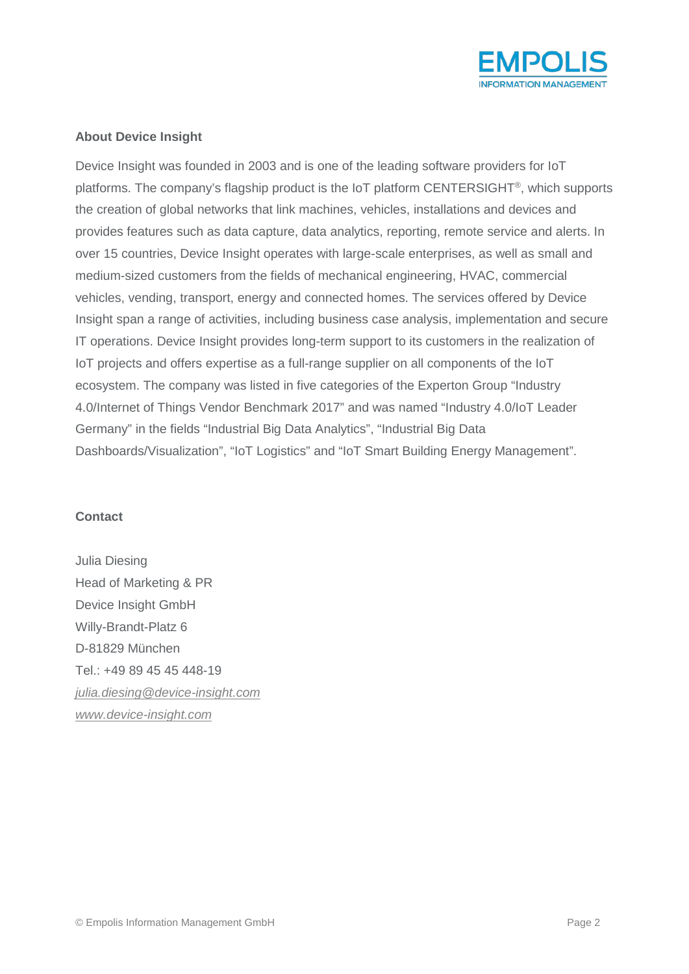

## **About Device Insight**

Device Insight was founded in 2003 and is one of the leading software providers for IoT platforms. The company's flagship product is the IoT platform CENTERSIGHT®, which supports the creation of global networks that link machines, vehicles, installations and devices and provides features such as data capture, data analytics, reporting, remote service and alerts. In over 15 countries, Device Insight operates with large-scale enterprises, as well as small and medium-sized customers from the fields of mechanical engineering, HVAC, commercial vehicles, vending, transport, energy and connected homes. The services offered by Device Insight span a range of activities, including business case analysis, implementation and secure IT operations. Device Insight provides long-term support to its customers in the realization of IoT projects and offers expertise as a full-range supplier on all components of the IoT ecosystem. The company was listed in five categories of the Experton Group "Industry 4.0/Internet of Things Vendor Benchmark 2017" and was named "Industry 4.0/IoT Leader Germany" in the fields "Industrial Big Data Analytics", "Industrial Big Data Dashboards/Visualization", "IoT Logistics" and "IoT Smart Building Energy Management".

### **Contact**

Julia Diesing Head of Marketing & PR Device Insight GmbH Willy-Brandt-Platz 6 D-81829 München Tel.: +49 89 45 45 448-19 *[julia.diesing@device-insight.com](mailto:julia.diesing@device-insight.com) www.device-insight.com*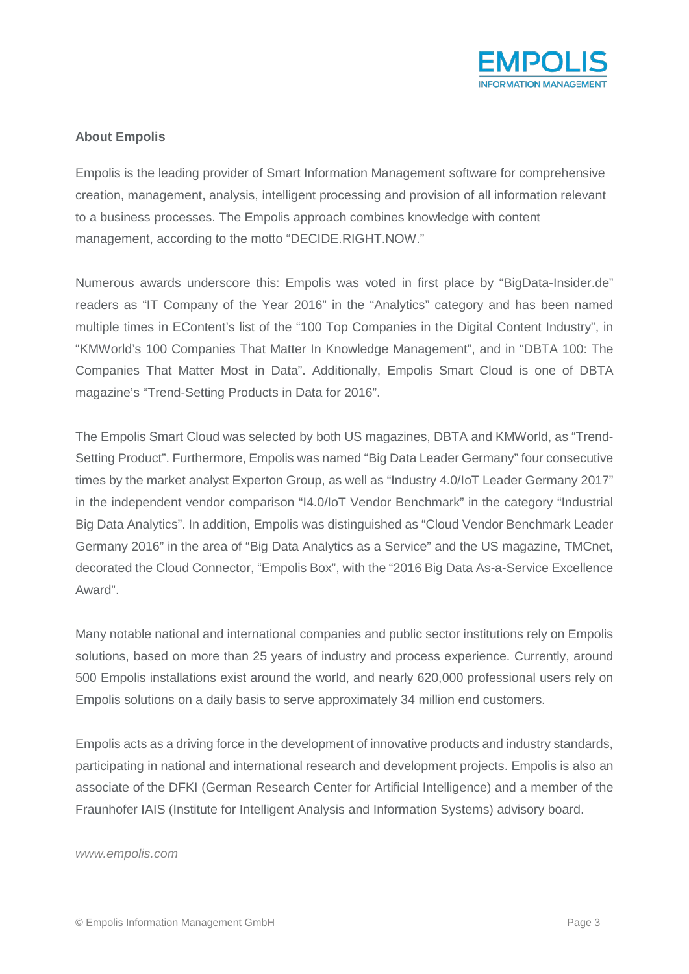

## **About Empolis**

Empolis is the leading provider of Smart Information Management software for comprehensive creation, management, analysis, intelligent processing and provision of all information relevant to a business processes. The Empolis approach combines knowledge with content management, according to the motto "DECIDE.RIGHT.NOW."

Numerous awards underscore this: Empolis was voted in first place by "BigData-Insider.de" readers as "IT Company of the Year 2016" in the "Analytics" category and has been named multiple times in EContent's list of the "100 Top Companies in the Digital Content Industry", in "KMWorld's 100 Companies That Matter In Knowledge Management", and in "DBTA 100: The Companies That Matter Most in Data". Additionally, Empolis Smart Cloud is one of DBTA magazine's "Trend-Setting Products in Data for 2016".

The Empolis Smart Cloud was selected by both US magazines, DBTA and KMWorld, as "Trend-Setting Product". Furthermore, Empolis was named "Big Data Leader Germany" four consecutive times by the market analyst Experton Group, as well as "Industry 4.0/IoT Leader Germany 2017" in the independent vendor comparison "I4.0/IoT Vendor Benchmark" in the category "Industrial Big Data Analytics". In addition, Empolis was distinguished as "Cloud Vendor Benchmark Leader Germany 2016" in the area of "Big Data Analytics as a Service" and the US magazine, TMCnet, decorated the Cloud Connector, "Empolis Box", with the "2016 Big Data As-a-Service Excellence Award".

Many notable national and international companies and public sector institutions rely on Empolis solutions, based on more than 25 years of industry and process experience. Currently, around 500 Empolis installations exist around the world, and nearly 620,000 professional users rely on Empolis solutions on a daily basis to serve approximately 34 million end customers.

Empolis acts as a driving force in the development of innovative products and industry standards, participating in national and international research and development projects. Empolis is also an associate of the DFKI (German Research Center for Artificial Intelligence) and a member of the Fraunhofer IAIS (Institute for Intelligent Analysis and Information Systems) advisory board.

#### *www.empolis.com*